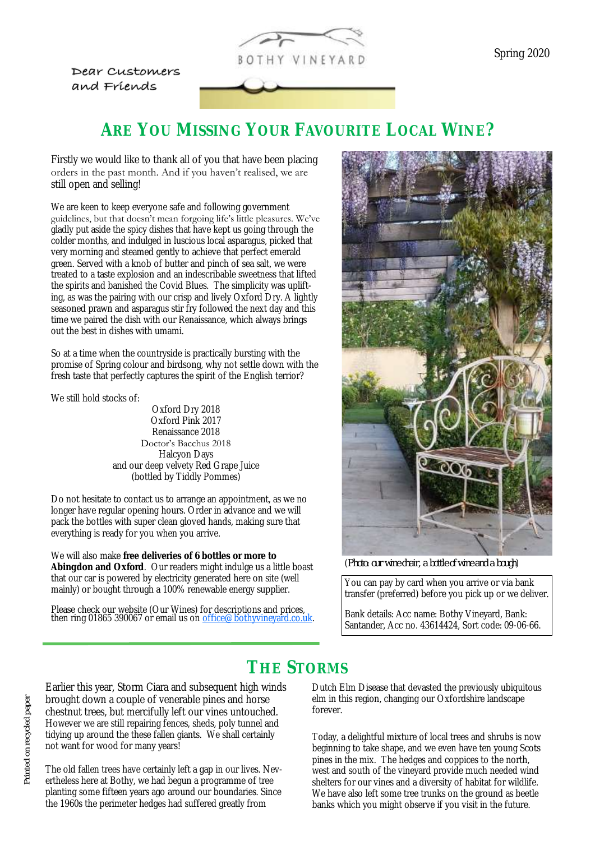

Dear Customers and Friends

Firstly we would like to thank all of you that have been placing orders in the past month. And if you haven't realised, we are still open and selling!

We are keen to keep everyone safe and following government guidelines, but that doesn't mean forgoing life's little pleasures. We've gladly put aside the spicy dishes that have kept us going through the colder months, and indulged in luscious local asparagus, picked that very morning and steamed gently to achieve that perfect emerald green. Served with a knob of butter and pinch of sea salt, we were treated to a taste explosion and an indescribable sweetness that lifted the spirits and banished the Covid Blues. The simplicity was uplifting, as was the pairing with our crisp and lively Oxford Dry. A lightly seasoned prawn and asparagus stir fry followed the next day and this time we paired the dish with our Renaissance, which always brings out the best in dishes with umami.

So at a time when the countryside is practically bursting with the promise of Spring colour and birdsong, why not settle down with the fresh taste that perfectly captures the spirit of the English terrior?

We still hold stocks of:

Oxford Dry 2018 Oxford Pink 2017 Renaissance 2018 Doctor's Bacchus 2018 Halcyon Days and our deep velvety Red Grape Juice (bottled by Tiddly Pommes)

Do not hesitate to contact us to arrange an appointment, as we no longer have regular opening hours. Order in advance and we will pack the bottles with super clean gloved hands, making sure that everything is ready for you when you arrive.

We will also make **free deliveries of 6 bottles or more to Abingdon and Oxford**. Our readers might indulge us a little boast that our car is powered by electricity generated here on site (well mainly) or bought through a 100% renewable energy supplier.

Please check our website (Our Wines) for descriptions and prices, then ring 01865 390067 or email us on **[office@bothyvineyard.co.uk.](mailto:office@bothyvineyard.co.uk)** 



(*Photo: our wine chair, a bottle of wine and a bough*)

You can pay by card when you arrive or via bank transfer (preferred) before you pick up or we deliver.

Bank details: Acc name: Bothy Vineyard, Bank: Santander, Acc no. 43614424, Sort code: 09-06-66.

# **THE STORMS**

Earlier this year, Storm Ciara and subsequent high winds brought down a couple of venerable pines and horse chestnut trees, but mercifully left our vines untouched. However we are still repairing fences, sheds, poly tunnel and tidying up around the these fallen giants. We shall certainly not want for wood for many years!

The old fallen trees have certainly left a gap in our lives. Nevertheless here at Bothy, we had begun a programme of tree planting some fifteen years ago around our boundaries. Since the 1960s the perimeter hedges had suffered greatly from

Dutch Elm Disease that devasted the previously ubiquitous elm in this region, changing our Oxfordshire landscape forever.

Today, a delightful mixture of local trees and shrubs is now beginning to take shape, and we even have ten young Scots pines in the mix. The hedges and coppices to the north, west and south of the vineyard provide much needed wind shelters for our vines and a diversity of habitat for wildlife. We have also left some tree trunks on the ground as beetle banks which you might observe if you visit in the future.